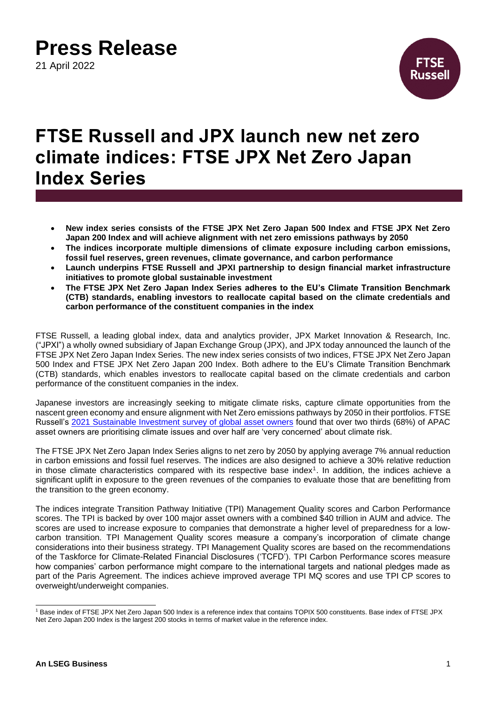21 April 2022



### **FTSE Russell and JPX launch new net zero climate indices: FTSE JPX Net Zero Japan Index Series**

- **New index series consists of the FTSE JPX Net Zero Japan 500 Index and FTSE JPX Net Zero Japan 200 Index and will achieve alignment with net zero emissions pathways by 2050**
- **The indices incorporate multiple dimensions of climate exposure including carbon emissions, fossil fuel reserves, green revenues, climate governance, and carbon performance**
- **Launch underpins FTSE Russell and JPXI partnership to design financial market infrastructure initiatives to promote global sustainable investment**
- **The FTSE JPX Net Zero Japan Index Series adheres to the EU's Climate Transition Benchmark (CTB) standards, enabling investors to reallocate capital based on the climate credentials and carbon performance of the constituent companies in the index**

FTSE Russell, a leading global index, data and analytics provider, JPX Market Innovation & Research, Inc. ("JPXI") a wholly owned subsidiary of Japan Exchange Group (JPX), and JPX today announced the launch of the FTSE JPX Net Zero Japan Index Series. The new index series consists of two indices, FTSE JPX Net Zero Japan 500 Index and FTSE JPX Net Zero Japan 200 Index. Both adhere to the EU's Climate Transition Benchmark (CTB) standards, which enables investors to reallocate capital based on the climate credentials and carbon performance of the constituent companies in the index.

Japanese investors are increasingly seeking to mitigate climate risks, capture climate opportunities from the nascent green economy and ensure alignment with Net Zero emissions pathways by 2050 in their portfolios. FTSE Russell's [2021 Sustainable Investment survey of global asset owners](https://www.ftserussell.com/press/sustainable-investment-now-standard-according-global-asset-owner-survey) found that over two thirds (68%) of APAC asset owners are prioritising climate issues and over half are 'very concerned' about climate risk.

The FTSE JPX Net Zero Japan Index Series aligns to net zero by 2050 by applying average 7% annual reduction in carbon emissions and fossil fuel reserves. The indices are also designed to achieve a 30% relative reduction in those climate characteristics compared with its respective base index<sup>1</sup>. In addition, the indices achieve a significant uplift in exposure to the green revenues of the companies to evaluate those that are benefitting from the transition to the green economy.

The indices integrate Transition Pathway Initiative (TPI) Management Quality scores and Carbon Performance scores. The TPI is backed by over 100 major asset owners with a combined \$40 trillion in AUM and advice. The scores are used to increase exposure to companies that demonstrate a higher level of preparedness for a lowcarbon transition. TPI Management Quality scores measure a company's incorporation of climate change considerations into their business strategy. TPI Management Quality scores are based on the recommendations of the Taskforce for Climate-Related Financial Disclosures ('TCFD'). TPI Carbon Performance scores measure how companies' carbon performance might compare to the international targets and national pledges made as part of the Paris Agreement. The indices achieve improved average TPI MQ scores and use TPI CP scores to overweight/underweight companies.

<sup>1</sup> Base index of FTSE JPX Net Zero Japan 500 Index is a reference index that contains TOPIX 500 constituents. Base index of FTSE JPX Net Zero Japan 200 Index is the largest 200 stocks in terms of market value in the reference index.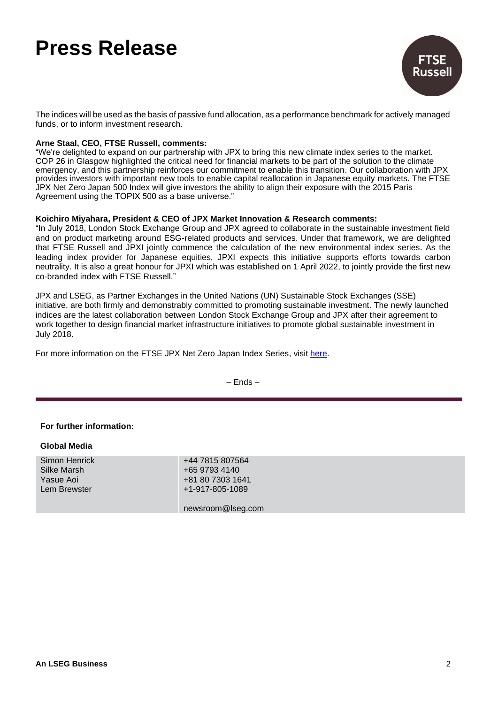

The indices will be used as the basis of passive fund allocation, as a performance benchmark for actively managed funds, or to inform investment research.

### **Arne Staal, CEO, FTSE Russell, comments:**

"We're delighted to expand on our partnership with JPX to bring this new climate index series to the market. COP 26 in Glasgow highlighted the critical need for financial markets to be part of the solution to the climate emergency, and this partnership reinforces our commitment to enable this transition. Our collaboration with JPX provides investors with important new tools to enable capital reallocation in Japanese equity markets. The FTSE JPX Net Zero Japan 500 Index will give investors the ability to align their exposure with the 2015 Paris Agreement using the TOPIX 500 as a base universe."

### **Koichiro Miyahara, President & CEO of JPX Market Innovation & Research comments:**

"In July 2018, London Stock Exchange Group and JPX agreed to collaborate in the sustainable investment field and on product marketing around ESG-related products and services. Under that framework, we are delighted that FTSE Russell and JPXI jointly commence the calculation of the new environmental index series. As the leading index provider for Japanese equities, JPXI expects this initiative supports efforts towards carbon neutrality. It is also a great honour for JPXI which was established on 1 April 2022, to jointly provide the first new co-branded index with FTSE Russell."

JPX and LSEG, as Partner Exchanges in the United Nations (UN) Sustainable Stock Exchanges (SSE) initiative, are both firmly and demonstrably committed to promoting sustainable investment. The newly launched indices are the latest collaboration between London Stock Exchange Group and JPX after their agreement to work together to design financial market infrastructure initiatives to promote global sustainable investment in July 2018.

For more information on the FTSE JPX Net Zero Japan Index Series, visit [here.](https://www.ftserussell.com/index/spotlight/jpx-netzero%3e)

– Ends –

### **For further information:**

| <b>Global Media</b>                                       |                                                                         |
|-----------------------------------------------------------|-------------------------------------------------------------------------|
| Simon Henrick<br>Silke Marsh<br>Yasue Aoi<br>Lem Brewster | +44 7815 807564<br>+65 9793 4140<br>+81 80 7303 1641<br>+1-917-805-1089 |
|                                                           | newsroom@lseg.com                                                       |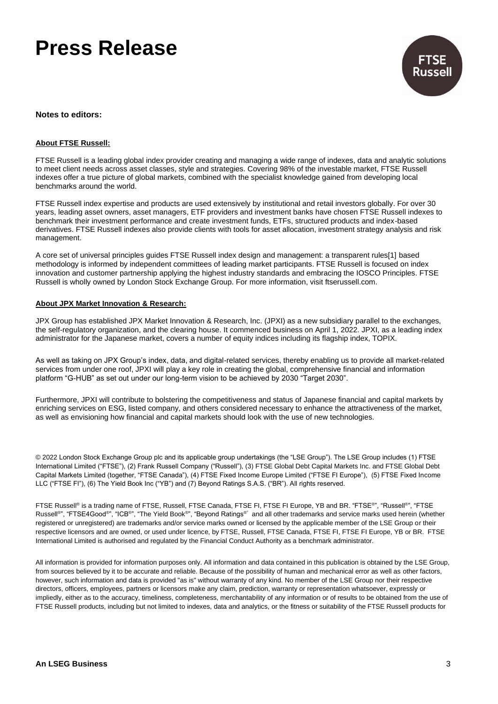

#### **Notes to editors:**

#### **About FTSE Russell:**

FTSE Russell is a leading global index provider creating and managing a wide range of indexes, data and analytic solutions to meet client needs across asset classes, style and strategies. Covering 98% of the investable market, FTSE Russell indexes offer a true picture of global markets, combined with the specialist knowledge gained from developing local benchmarks around the world.

FTSE Russell index expertise and products are used extensively by institutional and retail investors globally. For over 30 years, leading asset owners, asset managers, ETF providers and investment banks have chosen FTSE Russell indexes to benchmark their investment performance and create investment funds, ETFs, structured products and index-based derivatives. FTSE Russell indexes also provide clients with tools for asset allocation, investment strategy analysis and risk management.

A core set of universal principles guides FTSE Russell index design and management: a transparent rules[1] based methodology is informed by independent committees of leading market participants. FTSE Russell is focused on index innovation and customer partnership applying the highest industry standards and embracing the IOSCO Principles. FTSE Russell is wholly owned by London Stock Exchange Group. For more information, visit ftserussell.com.

#### **About JPX Market Innovation & Research:**

JPX Group has established JPX Market Innovation & Research, Inc. (JPXI) as a new subsidiary parallel to the exchanges, the self-regulatory organization, and the clearing house. It commenced business on April 1, 2022. JPXI, as a leading index administrator for the Japanese market, covers a number of equity indices including its flagship index, TOPIX.

As well as taking on JPX Group's index, data, and digital-related services, thereby enabling us to provide all market-related services from under one roof, JPXI will play a key role in creating the global, comprehensive financial and information platform "G-HUB" as set out under our long-term vision to be achieved by 2030 "Target 2030".

Furthermore, JPXI will contribute to bolstering the competitiveness and status of Japanese financial and capital markets by enriching services on ESG, listed company, and others considered necessary to enhance the attractiveness of the market, as well as envisioning how financial and capital markets should look with the use of new technologies.

© 2022 London Stock Exchange Group plc and its applicable group undertakings (the "LSE Group"). The LSE Group includes (1) FTSE International Limited ("FTSE"), (2) Frank Russell Company ("Russell"), (3) FTSE Global Debt Capital Markets Inc. and FTSE Global Debt Capital Markets Limited (together, "FTSE Canada"), (4) FTSE Fixed Income Europe Limited ("FTSE FI Europe"), (5) FTSE Fixed Income LLC ("FTSE FI"), (6) The Yield Book Inc ("YB") and (7) Beyond Ratings S.A.S. ("BR"). All rights reserved.

FTSE Russell® is a trading name of FTSE, Russell, FTSE Canada, FTSE FI, FTSE FI Europe, YB and BR. "FTSE®", "Russell®", "FTSE Russell®", "FTSE4Good®", "ICB®", "The Yield Book®", "Beyond Ratings®" and all other trademarks and service marks used herein (whether registered or unregistered) are trademarks and/or service marks owned or licensed by the applicable member of the LSE Group or their respective licensors and are owned, or used under licence, by FTSE, Russell, FTSE Canada, FTSE FI, FTSE FI Europe, YB or BR. FTSE International Limited is authorised and regulated by the Financial Conduct Authority as a benchmark administrator.

All information is provided for information purposes only. All information and data contained in this publication is obtained by the LSE Group, from sources believed by it to be accurate and reliable. Because of the possibility of human and mechanical error as well as other factors, however, such information and data is provided "as is" without warranty of any kind. No member of the LSE Group nor their respective directors, officers, employees, partners or licensors make any claim, prediction, warranty or representation whatsoever, expressly or impliedly, either as to the accuracy, timeliness, completeness, merchantability of any information or of results to be obtained from the use of FTSE Russell products, including but not limited to indexes, data and analytics, or the fitness or suitability of the FTSE Russell products for